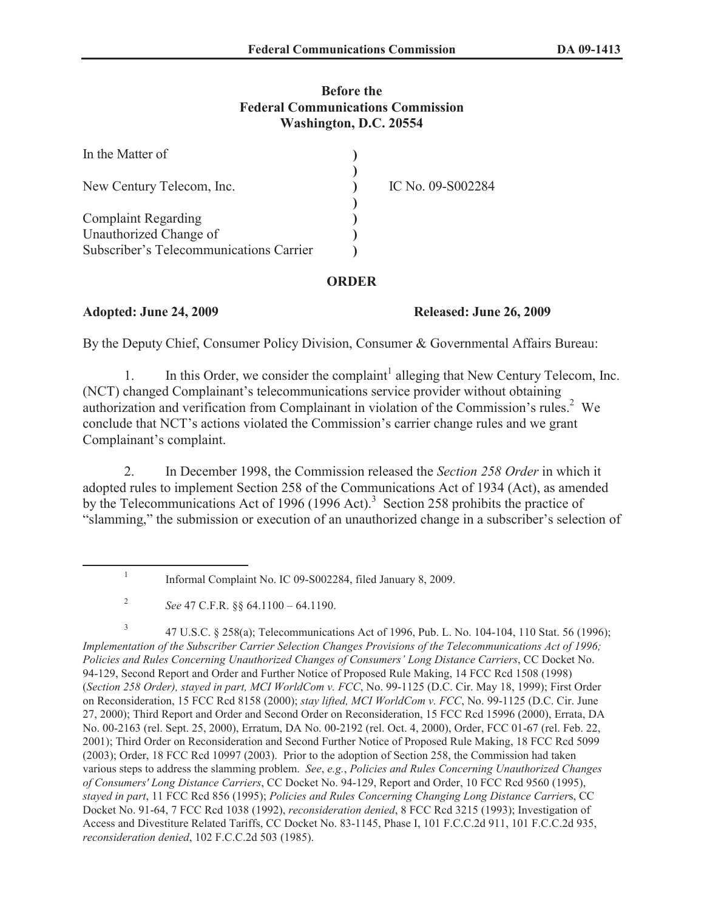## **Before the Federal Communications Commission Washington, D.C. 20554**

| In the Matter of                        |                   |
|-----------------------------------------|-------------------|
| New Century Telecom, Inc.               | IC No. 09-S002284 |
| <b>Complaint Regarding</b>              |                   |
| Unauthorized Change of                  |                   |
| Subscriber's Telecommunications Carrier |                   |

## **ORDER**

## **Adopted: June 24, 2009 Released: June 26, 2009**

By the Deputy Chief, Consumer Policy Division, Consumer & Governmental Affairs Bureau:

1. In this Order, we consider the complaint<sup>1</sup> alleging that New Century Telecom, Inc. (NCT) changed Complainant's telecommunications service provider without obtaining authorization and verification from Complainant in violation of the Commission's rules.<sup>2</sup> We conclude that NCT's actions violated the Commission's carrier change rules and we grant Complainant's complaint.

2. In December 1998, the Commission released the *Section 258 Order* in which it adopted rules to implement Section 258 of the Communications Act of 1934 (Act), as amended by the Telecommunications Act of 1996 (1996 Act).<sup>3</sup> Section 258 prohibits the practice of "slamming," the submission or execution of an unauthorized change in a subscriber's selection of

3 47 U.S.C. § 258(a); Telecommunications Act of 1996, Pub. L. No. 104-104, 110 Stat. 56 (1996); *Implementation of the Subscriber Carrier Selection Changes Provisions of the Telecommunications Act of 1996; Policies and Rules Concerning Unauthorized Changes of Consumers' Long Distance Carriers*, CC Docket No. 94-129, Second Report and Order and Further Notice of Proposed Rule Making, 14 FCC Rcd 1508 (1998) (*Section 258 Order), stayed in part, MCI WorldCom v. FCC*, No. 99-1125 (D.C. Cir. May 18, 1999); First Order on Reconsideration, 15 FCC Rcd 8158 (2000); *stay lifted, MCI WorldCom v. FCC*, No. 99-1125 (D.C. Cir. June 27, 2000); Third Report and Order and Second Order on Reconsideration, 15 FCC Rcd 15996 (2000), Errata, DA No. 00-2163 (rel. Sept. 25, 2000), Erratum, DA No. 00-2192 (rel. Oct. 4, 2000), Order, FCC 01-67 (rel. Feb. 22, 2001); Third Order on Reconsideration and Second Further Notice of Proposed Rule Making, 18 FCC Rcd 5099 (2003); Order, 18 FCC Rcd 10997 (2003). Prior to the adoption of Section 258, the Commission had taken various steps to address the slamming problem. *See*, *e.g.*, *Policies and Rules Concerning Unauthorized Changes of Consumers' Long Distance Carriers*, CC Docket No. 94-129, Report and Order, 10 FCC Rcd 9560 (1995), *stayed in part*, 11 FCC Rcd 856 (1995); *Policies and Rules Concerning Changing Long Distance Carrier*s, CC Docket No. 91-64, 7 FCC Rcd 1038 (1992), *reconsideration denied*, 8 FCC Rcd 3215 (1993); Investigation of Access and Divestiture Related Tariffs, CC Docket No. 83-1145, Phase I, 101 F.C.C.2d 911, 101 F.C.C.2d 935, *reconsideration denied*, 102 F.C.C.2d 503 (1985).

<sup>1</sup> Informal Complaint No. IC 09-S002284, filed January 8, 2009.

<sup>2</sup> *See* 47 C.F.R. §§ 64.1100 – 64.1190.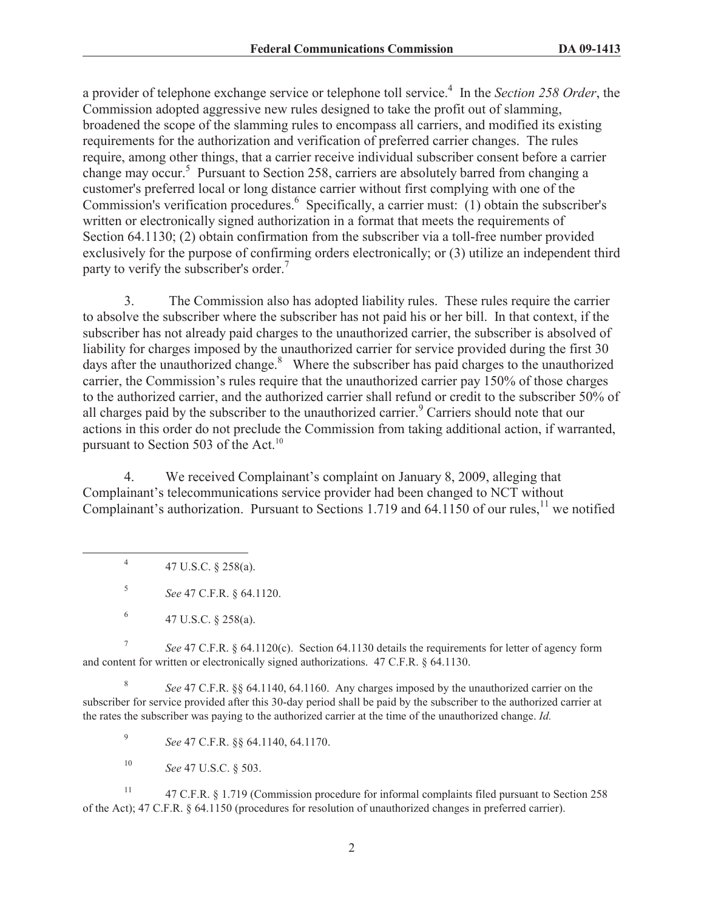a provider of telephone exchange service or telephone toll service.<sup>4</sup> In the *Section 258 Order*, the Commission adopted aggressive new rules designed to take the profit out of slamming, broadened the scope of the slamming rules to encompass all carriers, and modified its existing requirements for the authorization and verification of preferred carrier changes. The rules require, among other things, that a carrier receive individual subscriber consent before a carrier change may occur.<sup>5</sup> Pursuant to Section 258, carriers are absolutely barred from changing a customer's preferred local or long distance carrier without first complying with one of the Commission's verification procedures.<sup>6</sup> Specifically, a carrier must: (1) obtain the subscriber's written or electronically signed authorization in a format that meets the requirements of Section 64.1130; (2) obtain confirmation from the subscriber via a toll-free number provided exclusively for the purpose of confirming orders electronically; or (3) utilize an independent third party to verify the subscriber's order.<sup>7</sup>

3. The Commission also has adopted liability rules. These rules require the carrier to absolve the subscriber where the subscriber has not paid his or her bill. In that context, if the subscriber has not already paid charges to the unauthorized carrier, the subscriber is absolved of liability for charges imposed by the unauthorized carrier for service provided during the first 30 days after the unauthorized change.<sup>8</sup> Where the subscriber has paid charges to the unauthorized carrier, the Commission's rules require that the unauthorized carrier pay 150% of those charges to the authorized carrier, and the authorized carrier shall refund or credit to the subscriber 50% of all charges paid by the subscriber to the unauthorized carrier.<sup>9</sup> Carriers should note that our actions in this order do not preclude the Commission from taking additional action, if warranted, pursuant to Section 503 of the Act. $^{10}$ 

4. We received Complainant's complaint on January 8, 2009, alleging that Complainant's telecommunications service provider had been changed to NCT without Complainant's authorization. Pursuant to Sections 1.719 and 64.1150 of our rules,<sup>11</sup> we notified

4 47 U.S.C. § 258(a).

5 *See* 47 C.F.R. § 64.1120.

7 *See* 47 C.F.R. § 64.1120(c). Section 64.1130 details the requirements for letter of agency form and content for written or electronically signed authorizations. 47 C.F.R. § 64.1130.

8 *See* 47 C.F.R. §§ 64.1140, 64.1160. Any charges imposed by the unauthorized carrier on the subscriber for service provided after this 30-day period shall be paid by the subscriber to the authorized carrier at the rates the subscriber was paying to the authorized carrier at the time of the unauthorized change. *Id.*

9 *See* 47 C.F.R. §§ 64.1140, 64.1170.

<sup>10</sup> *See* 47 U.S.C. § 503.

<sup>11</sup> 47 C.F.R. § 1.719 (Commission procedure for informal complaints filed pursuant to Section 258 of the Act); 47 C.F.R. § 64.1150 (procedures for resolution of unauthorized changes in preferred carrier).

<sup>6</sup> 47 U.S.C. § 258(a).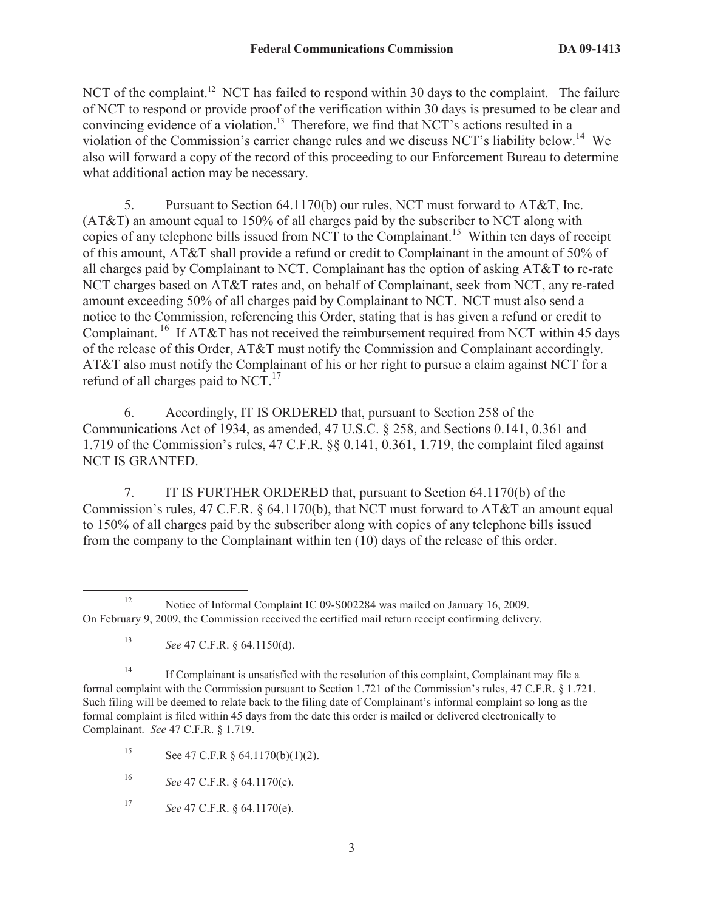NCT of the complaint.<sup>12</sup> NCT has failed to respond within 30 days to the complaint. The failure of NCT to respond or provide proof of the verification within 30 days is presumed to be clear and convincing evidence of a violation.<sup>13</sup> Therefore, we find that NCT's actions resulted in a violation of the Commission's carrier change rules and we discuss NCT's liability below.<sup>14</sup> We also will forward a copy of the record of this proceeding to our Enforcement Bureau to determine what additional action may be necessary.

5. Pursuant to Section 64.1170(b) our rules, NCT must forward to AT&T, Inc. (AT&T) an amount equal to 150% of all charges paid by the subscriber to NCT along with copies of any telephone bills issued from NCT to the Complainant.<sup>15</sup> Within ten days of receipt of this amount, AT&T shall provide a refund or credit to Complainant in the amount of 50% of all charges paid by Complainant to NCT. Complainant has the option of asking AT&T to re-rate NCT charges based on AT&T rates and, on behalf of Complainant, seek from NCT, any re-rated amount exceeding 50% of all charges paid by Complainant to NCT. NCT must also send a notice to the Commission, referencing this Order, stating that is has given a refund or credit to Complainant.<sup>16</sup> If AT&T has not received the reimbursement required from NCT within 45 days of the release of this Order, AT&T must notify the Commission and Complainant accordingly. AT&T also must notify the Complainant of his or her right to pursue a claim against NCT for a refund of all charges paid to  $NCT$ <sup>17</sup>

6. Accordingly, IT IS ORDERED that, pursuant to Section 258 of the Communications Act of 1934, as amended, 47 U.S.C. § 258, and Sections 0.141, 0.361 and 1.719 of the Commission's rules, 47 C.F.R. §§ 0.141, 0.361, 1.719, the complaint filed against NCT IS GRANTED.

7. IT IS FURTHER ORDERED that, pursuant to Section 64.1170(b) of the Commission's rules, 47 C.F.R. § 64.1170(b), that NCT must forward to AT&T an amount equal to 150% of all charges paid by the subscriber along with copies of any telephone bills issued from the company to the Complainant within ten (10) days of the release of this order.

<sup>17</sup> *See* 47 C.F.R. § 64.1170(e).

<sup>&</sup>lt;sup>12</sup> Notice of Informal Complaint IC 09-S002284 was mailed on January 16, 2009. On February 9, 2009, the Commission received the certified mail return receipt confirming delivery.

<sup>13</sup> *See* 47 C.F.R. § 64.1150(d).

<sup>&</sup>lt;sup>14</sup> If Complainant is unsatisfied with the resolution of this complaint, Complainant may file a formal complaint with the Commission pursuant to Section 1.721 of the Commission's rules, 47 C.F.R. § 1.721. Such filing will be deemed to relate back to the filing date of Complainant's informal complaint so long as the formal complaint is filed within 45 days from the date this order is mailed or delivered electronically to Complainant. *See* 47 C.F.R. § 1.719.

<sup>15</sup> See 47 C.F.R  $\S$  64.1170(b)(1)(2).

<sup>16</sup> *See* 47 C.F.R. § 64.1170(c).